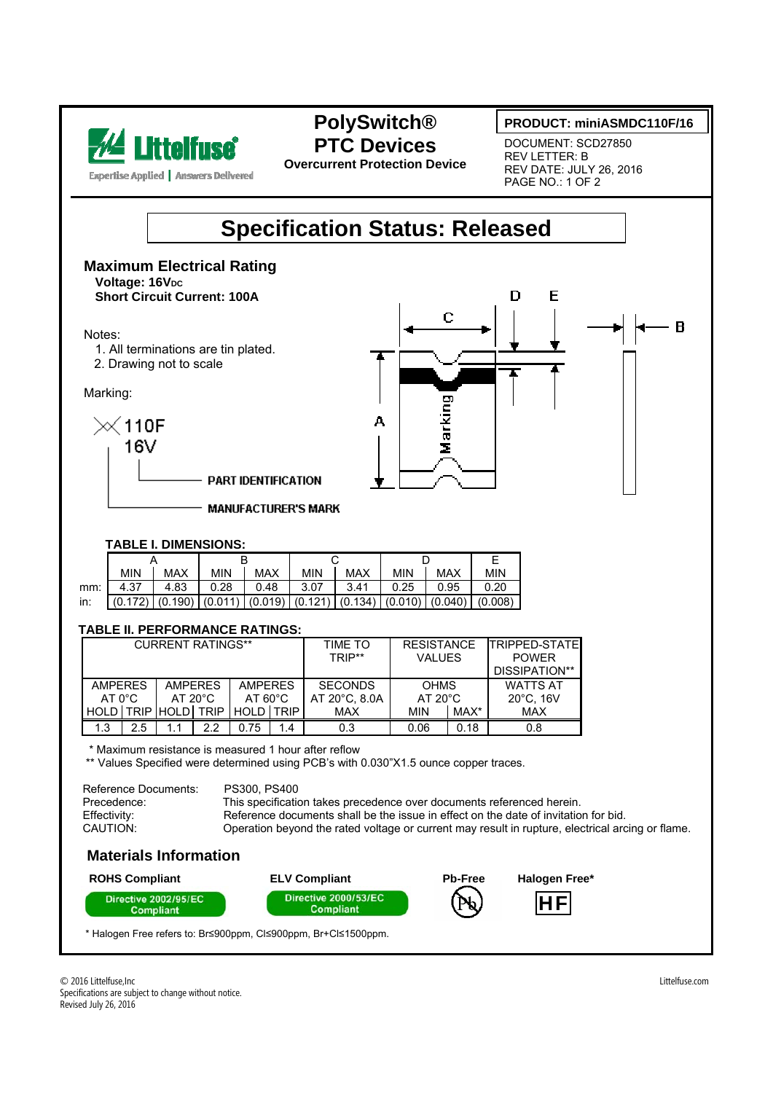

### **PolySwitch® PTC Devices**

**Overcurrent Protection Device** 

#### **PRODUCT: miniASMDC110F/16**

DOCUMENT: SCD27850 REV LETTER: B REV DATE: JULY 26, 2016 PAGE NO.: 1 OF 2

## **Specification Status: Released**

**Maximum Electrical Rating Voltage: 16VDC Short Circuit Current: 100A** 

#### Notes:

- 1. All terminations are tin plated.
- 2. Drawing not to scale

Marking:





#### **TABLE I. DIMENSIONS:**

|       | <b>MIN</b>                                                                                | <b>MAX</b> | <b>MIN</b> | <b>MAX</b>   | <b>MIN</b> | <b>MAX</b> | <b>MIN</b> | <b>MAX</b> | <b>MIN</b> |
|-------|-------------------------------------------------------------------------------------------|------------|------------|--------------|------------|------------|------------|------------|------------|
| mm: I | 4.37                                                                                      | 4.83       | 0.28       | $\vert$ 0.48 | 3.07       | 3.41       | 0.25       | 0.95       | 0.20       |
| in:   | $(0.172)$ $(0.190)$ $(0.011)$ $(0.019)$ $(0.121)$ $(0.134)$ $(0.010)$ $(0.040)$ $(0.008)$ |            |            |              |            |            |            |            |            |

**MANUFACTURER'S MARK** 

#### **TABLE II. PERFORMANCE RATINGS:**

|                 |                                  | <b>CURRENT RATINGS**</b> |                |                   |                | TIME TO       | <b>RESISTANCE</b> |                 | <b>TRIPPED-STATE</b> |
|-----------------|----------------------------------|--------------------------|----------------|-------------------|----------------|---------------|-------------------|-----------------|----------------------|
|                 |                                  |                          |                |                   |                | TRIP**        | <b>VALUES</b>     |                 | <b>POWER</b>         |
|                 |                                  |                          |                |                   |                |               |                   |                 | DISSIPATION**        |
|                 | <b>AMPERES</b><br><b>AMPERES</b> |                          | <b>AMPERES</b> |                   | <b>SECONDS</b> | <b>OHMS</b>   |                   | <b>WATTS AT</b> |                      |
| $AT 0^{\circ}C$ |                                  | AT $20^{\circ}$ C        |                | $AT 60^{\circ}$ C |                | AT 20°C, 8.0A | $AT 20^{\circ}$ C |                 | $20^{\circ}$ C, 16V  |
| <b>HOLD</b>     |                                  | TRIP HOLD TRIP           |                | HOLD LTRIP I      |                | MAX           | MIN               | MAX*            | <b>MAX</b>           |
| 1.3             | 2.5                              |                          | 2.2            | 0.75              | 1.4            | 0.3           | 0.06              | 0.18            | 0.8                  |

\* Maximum resistance is measured 1 hour after reflow

\*\* Values Specified were determined using PCB's with 0.030"X1.5 ounce copper traces.

| Reference Documents: | PS300, PS400                                                                                     |
|----------------------|--------------------------------------------------------------------------------------------------|
| Precedence:          | This specification takes precedence over documents referenced herein.                            |
| Effectivity:         | Reference documents shall be the issue in effect on the date of invitation for bid.              |
| CAUTION:             | Operation beyond the rated voltage or current may result in rupture, electrical arcing or flame. |

#### **Materials Information**



\* Halogen Free refers to: Br≤900ppm, Cl≤900ppm, Br+Cl≤1500ppm.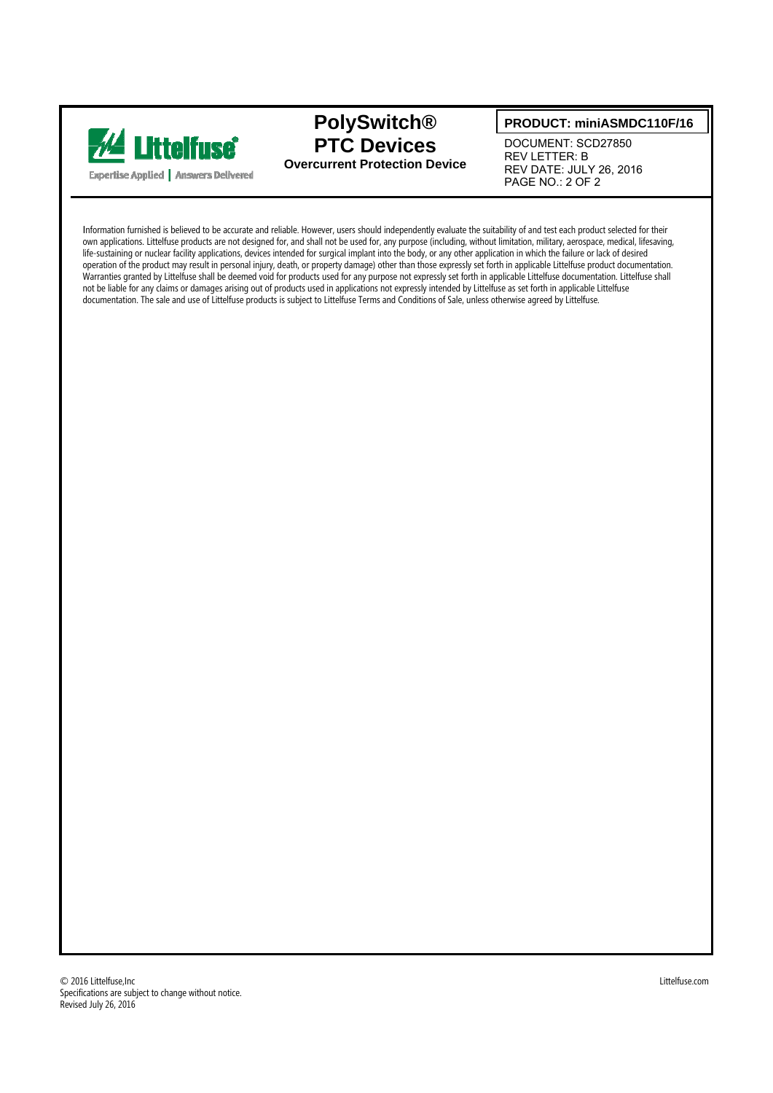

### **PolySwitch® PTC Devices Overcurrent Protection Device**

#### **PRODUCT: miniASMDC110F/16**

DOCUMENT: SCD27850 REV LETTER: B REV DATE: JULY 26, 2016 PAGE NO.: 2 OF 2

Information furnished is believed to be accurate and reliable. However, users should independently evaluate the suitability of and test each product selected for their own applications. Littelfuse products are not designed for, and shall not be used for, any purpose (including, without limitation, military, aerospace, medical, lifesaving, life-sustaining or nuclear facility applications, devices intended for surgical implant into the body, or any other application in which the failure or lack of desired operation of the product may result in personal injury, death, or property damage) other than those expressly set forth in applicable Littelfuse product documentation. Warranties granted by Littelfuse shall be deemed void for products used for any purpose not expressly set forth in applicable Littelfuse documentation. Littelfuse shall not be liable for any claims or damages arising out of products used in applications not expressly intended by Littelfuse as set forth in applicable Littelfuse documentation. The sale and use of Littelfuse products is subject to Littelfuse Terms and Conditions of Sale, unless otherwise agreed by Littelfuse.